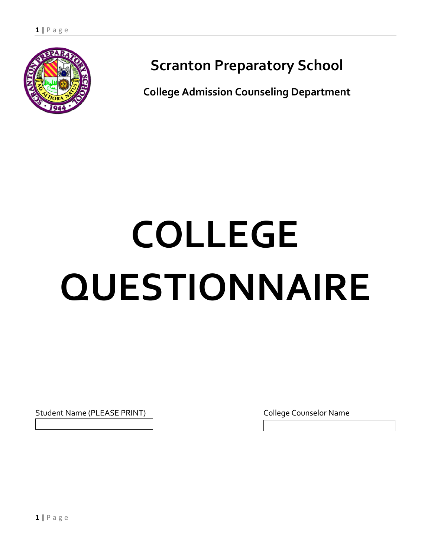

# **Scranton Preparatory School**

**College Admission Counseling Department**

# **COLLEGE QUESTIONNAIRE**

Student Name (PLEASE PRINT) Student Name (PLEASE PRINT)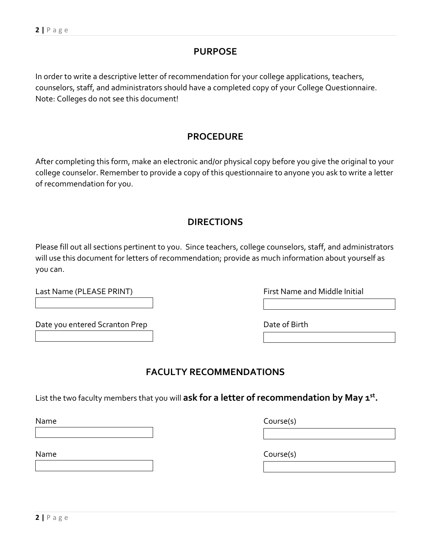**2 |** P a g e

of recommendation for you.

you can.

# **FACULTY RECOMMENDATIONS**

List the two faculty members that you will **ask for a letter of recommendation by May 1st .**

**PROCEDURE** After completing this form, make an electronic and/or physical copy before you give the original to your college counselor. Remember to provide a copy of this questionnaire to anyone you ask to write a letter

Note: Colleges do not see this document!

In order to write a descriptive letter of recommendation for your college applications, teachers, counselors, staff, and administrators should have a completed copy of your College Questionnaire.

# **DIRECTIONS**

Please fill out all sections pertinent to you. Since teachers, college counselors, staff, and administrators will use this document for letters of recommendation; provide as much information about yourself as

Last Name (PLEASE PRINT) The Contract Contract Contract Contract Contract Contract Contract Contract Contract Contract Contract Contract Contract Contract Contract Contract Contract Contract Contract Contract Contract Cont

Date you entered Scranton Prep Date of Birth

Name Course(s)

Name Course(s)

# **PURPOSE**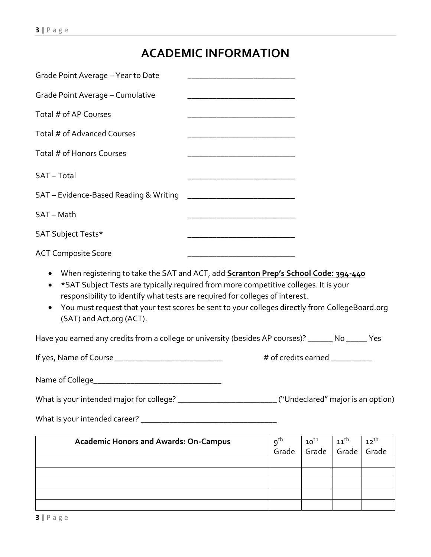# **ACADEMIC INFORMATION**

| Grade Point Average - Cumulative                                                                                                                                                                                                                                                                        |                                |                           |                           |                    |
|---------------------------------------------------------------------------------------------------------------------------------------------------------------------------------------------------------------------------------------------------------------------------------------------------------|--------------------------------|---------------------------|---------------------------|--------------------|
| Total # of AP Courses                                                                                                                                                                                                                                                                                   |                                |                           |                           |                    |
| Total # of Advanced Courses                                                                                                                                                                                                                                                                             |                                |                           |                           |                    |
| Total # of Honors Courses                                                                                                                                                                                                                                                                               |                                |                           |                           |                    |
| SAT-Total                                                                                                                                                                                                                                                                                               |                                |                           |                           |                    |
| SAT - Evidence-Based Reading & Writing                                                                                                                                                                                                                                                                  |                                |                           |                           |                    |
| SAT - Math                                                                                                                                                                                                                                                                                              |                                |                           |                           |                    |
| SAT Subject Tests*                                                                                                                                                                                                                                                                                      |                                |                           |                           |                    |
| <b>ACT Composite Score</b>                                                                                                                                                                                                                                                                              |                                |                           |                           |                    |
| When registering to take the SAT and ACT, add <b>Scranton Prep's School Code: 394-440</b><br>$\bullet$                                                                                                                                                                                                  |                                |                           |                           |                    |
| *SAT Subject Tests are typically required from more competitive colleges. It is your<br>٠<br>responsibility to identify what tests are required for colleges of interest.<br>You must request that your test scores be sent to your colleges directly from CollegeBoard.org<br>(SAT) and Act.org (ACT). |                                |                           |                           |                    |
| Have you earned any credits from a college or university (besides AP courses)? ______ No _____ Yes                                                                                                                                                                                                      |                                |                           |                           |                    |
|                                                                                                                                                                                                                                                                                                         | # of credits earned __________ |                           |                           |                    |
|                                                                                                                                                                                                                                                                                                         |                                |                           |                           |                    |
|                                                                                                                                                                                                                                                                                                         |                                |                           |                           |                    |
|                                                                                                                                                                                                                                                                                                         |                                |                           |                           |                    |
|                                                                                                                                                                                                                                                                                                         |                                |                           |                           |                    |
| <b>Academic Honors and Awards: On-Campus</b>                                                                                                                                                                                                                                                            | 9 <sup>th</sup><br>Grade       | $10^{\text{th}}$<br>Grade | $11^{\text{th}}$<br>Grade | $12^{th}$<br>Grade |
|                                                                                                                                                                                                                                                                                                         |                                |                           |                           |                    |
|                                                                                                                                                                                                                                                                                                         |                                |                           |                           |                    |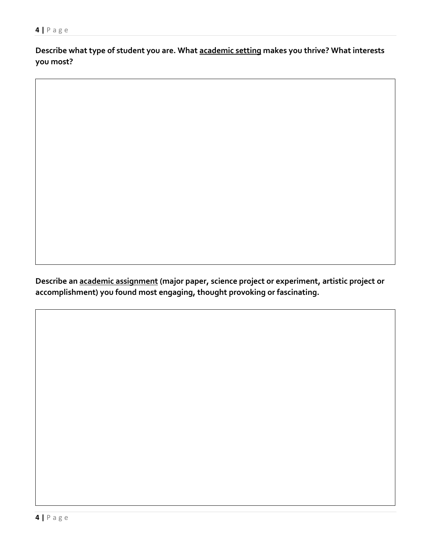**Describe what type of student you are. What academic setting makes you thrive? What interests you most?**

**Describe an academic assignment (major paper, science project or experiment, artistic project or accomplishment) you found most engaging, thought provoking or fascinating.**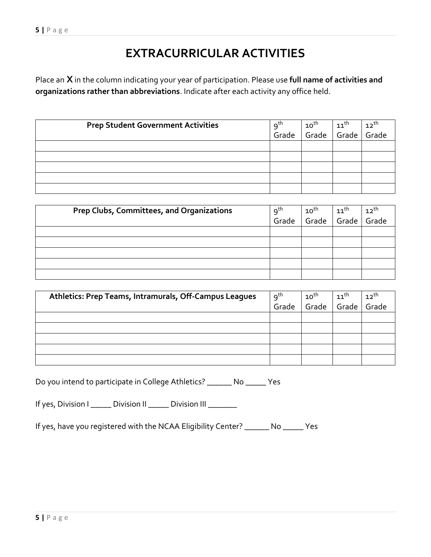# **EXTRACURRICULAR ACTIVITIES**

Place an **X** in the column indicating your year of participation. Please use **full name of activities and organizations rather than abbreviations**. Indicate after each activity any office held.

| <b>Prep Student Government Activities</b> |                          | $10^{\text{th}}$ | $11^{\text{th}}$ | $12^{th}$ |
|-------------------------------------------|--------------------------|------------------|------------------|-----------|
|                                           | 9 <sup>th</sup><br>Grade | Grade            | Grade            | Grade     |
|                                           |                          |                  |                  |           |
|                                           |                          |                  |                  |           |
|                                           |                          |                  |                  |           |
|                                           |                          |                  |                  |           |
|                                           |                          |                  |                  |           |

| <b>Prep Clubs, Committees, and Organizations</b> | $9^{\text{th}}$ | $10^{\text{th}}$ | $11^{\text{th}}$ | $12^{th}$ |
|--------------------------------------------------|-----------------|------------------|------------------|-----------|
|                                                  | Grade           | Grade            | Grade            | Grade     |
|                                                  |                 |                  |                  |           |
|                                                  |                 |                  |                  |           |
|                                                  |                 |                  |                  |           |
|                                                  |                 |                  |                  |           |
|                                                  |                 |                  |                  |           |

| Athletics: Prep Teams, Intramurals, Off-Campus Leagues | $9^{th}$ | $10^{\text{th}}$ | $11^{\text{th}}$ | $12^{th}$ |
|--------------------------------------------------------|----------|------------------|------------------|-----------|
|                                                        | Grade    | Grade            | Grade            | Grade     |
|                                                        |          |                  |                  |           |
|                                                        |          |                  |                  |           |
|                                                        |          |                  |                  |           |
|                                                        |          |                  |                  |           |
|                                                        |          |                  |                  |           |

Do you intend to participate in College Athletics? \_\_\_\_\_\_ No \_\_\_\_\_ Yes

If yes, Division I \_\_\_\_\_ Division II \_\_\_\_\_ Division III \_\_\_\_\_\_\_

If yes, have you registered with the NCAA Eligibility Center? \_\_\_\_\_\_ No \_\_\_\_\_ Yes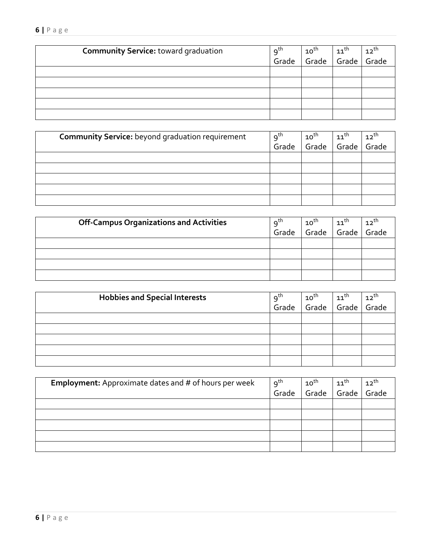#### **6 |** P a g e

| <b>Community Service: toward graduation</b> |                          | $10^{\text{th}}$ | $11^{\text{th}}$ | $12^{th}$ |
|---------------------------------------------|--------------------------|------------------|------------------|-----------|
|                                             | 9 <sup>th</sup><br>Grade | Grade            | Grade            | Grade     |
|                                             |                          |                  |                  |           |
|                                             |                          |                  |                  |           |
|                                             |                          |                  |                  |           |
|                                             |                          |                  |                  |           |
|                                             |                          |                  |                  |           |

| <b>Community Service:</b> beyond graduation requirement | $9^{th}$ | $10^{\text{th}}$ | $11$ <sup>th</sup> | $12^{th}$ |
|---------------------------------------------------------|----------|------------------|--------------------|-----------|
|                                                         | Grade    | Grade            | Grade              | Grade     |
|                                                         |          |                  |                    |           |
|                                                         |          |                  |                    |           |
|                                                         |          |                  |                    |           |
|                                                         |          |                  |                    |           |
|                                                         |          |                  |                    |           |

| <b>Off-Campus Organizations and Activities</b> | 9 <sup>th</sup> | $10^{\text{th}}$ | $11^{\text{th}}$ | $12^{th}$ |
|------------------------------------------------|-----------------|------------------|------------------|-----------|
|                                                | Grade           | Grade            | Grade            | Grade     |
|                                                |                 |                  |                  |           |
|                                                |                 |                  |                  |           |
|                                                |                 |                  |                  |           |
|                                                |                 |                  |                  |           |

| <b>Hobbies and Special Interests</b> | $9^{\text{th}}$ | $10^{\text{th}}$ | $11^{\text{th}}$ | $12^{th}$ |
|--------------------------------------|-----------------|------------------|------------------|-----------|
|                                      | Grade           | Grade            | Grade            | Grade     |
|                                      |                 |                  |                  |           |
|                                      |                 |                  |                  |           |
|                                      |                 |                  |                  |           |
|                                      |                 |                  |                  |           |
|                                      |                 |                  |                  |           |

| Employment: Approximate dates and # of hours per week | $9^{th}$ | $10^{th}$ | $11^{\text{th}}$ | $12^{th}$ |
|-------------------------------------------------------|----------|-----------|------------------|-----------|
|                                                       | Grade    | Grade     | Grade            | Grade     |
|                                                       |          |           |                  |           |
|                                                       |          |           |                  |           |
|                                                       |          |           |                  |           |
|                                                       |          |           |                  |           |
|                                                       |          |           |                  |           |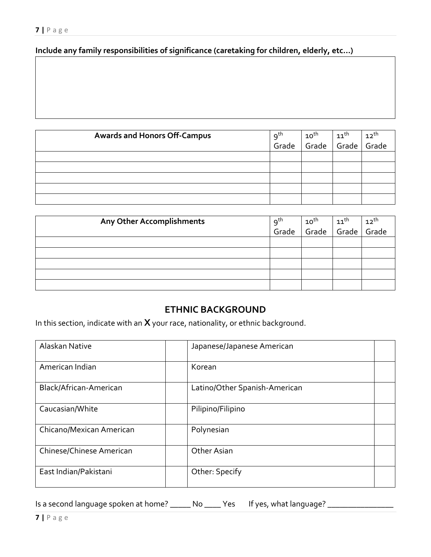#### **Include any family responsibilities of significance (caretaking for children, elderly, etc…)**

| <b>Awards and Honors Off-Campus</b> | 9 <sup>th</sup><br>Grade | $\begin{array}{ c c c } \hline 10^{\text{th}} & 11^{\text{th}} & 12^{\text{th}} \\ \hline \hline \end{array}$ Grade $\begin{array}{ c c c } \hline 12^{\text{th}} & 12^{\text{th}} & \hline \end{array}$ |  |
|-------------------------------------|--------------------------|----------------------------------------------------------------------------------------------------------------------------------------------------------------------------------------------------------|--|
|                                     |                          |                                                                                                                                                                                                          |  |
|                                     |                          |                                                                                                                                                                                                          |  |
|                                     |                          |                                                                                                                                                                                                          |  |
|                                     |                          |                                                                                                                                                                                                          |  |
|                                     |                          |                                                                                                                                                                                                          |  |
|                                     |                          |                                                                                                                                                                                                          |  |

| Any Other Accomplishments | 9 <sup>th</sup> | $\mathtt{10}^{\text{th}}$ | $\begin{array}{c} 11^{th} \\ \text{Grade} \end{array}$ | $12^{th}$ |
|---------------------------|-----------------|---------------------------|--------------------------------------------------------|-----------|
|                           | Grade           | Grade                     |                                                        | Grade     |
|                           |                 |                           |                                                        |           |
|                           |                 |                           |                                                        |           |
|                           |                 |                           |                                                        |           |
|                           |                 |                           |                                                        |           |
|                           |                 |                           |                                                        |           |

#### **ETHNIC BACKGROUND**

In this section, indicate with an **X** your race, nationality, or ethnic background.

| Alaskan Native           | Japanese/Japanese American    |
|--------------------------|-------------------------------|
| American Indian          | Korean                        |
| Black/African-American   | Latino/Other Spanish-American |
| Caucasian/White          | Pilipino/Filipino             |
| Chicano/Mexican American | Polynesian                    |
| Chinese/Chinese American | Other Asian                   |
| East Indian/Pakistani    | Other: Specify                |

Is a second language spoken at home? \_\_\_\_\_\_ No \_\_\_\_\_ Yes If yes, what language? \_\_\_\_\_\_\_\_\_\_\_\_\_\_\_\_\_\_\_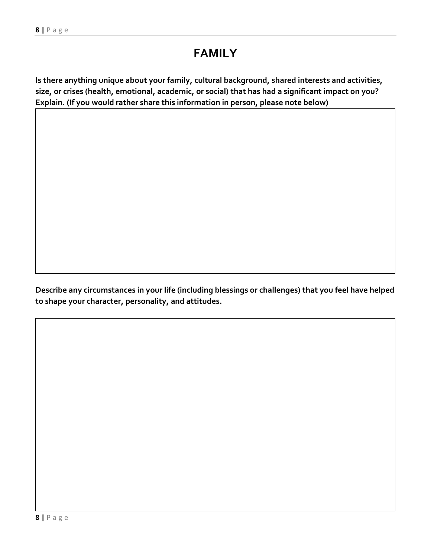## **FAMILY**

**Is there anything unique about your family, cultural background, shared interests and activities, size, or crises (health, emotional, academic, or social) that has had a significant impact on you? Explain. (If you would rather share this information in person, please note below)**

**Describe any circumstances in your life (including blessings or challenges) that you feel have helped to shape your character, personality, and attitudes.**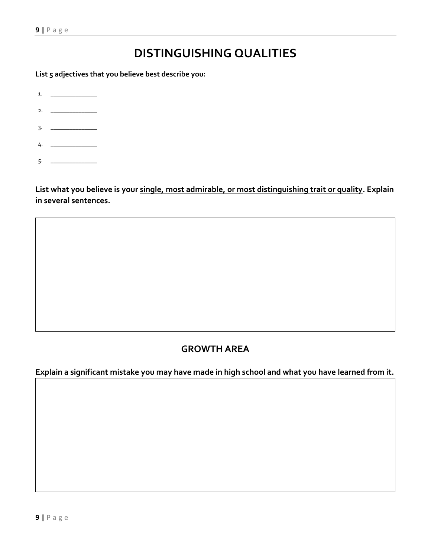# **DISTINGUISHING QUALITIES**

**List 5 adjectives that you believe best describe you:**

1.

- 2.  $\qquad \qquad$
- $3.$   $\qquad \qquad$
- 4. \_\_\_\_\_\_\_\_\_\_\_\_\_\_
- $5.$   $-$

**List what you believe is your single, most admirable, or most distinguishing trait or quality. Explain in several sentences.** 

## **GROWTH AREA**

**Explain a significant mistake you may have made in high school and what you have learned from it.**